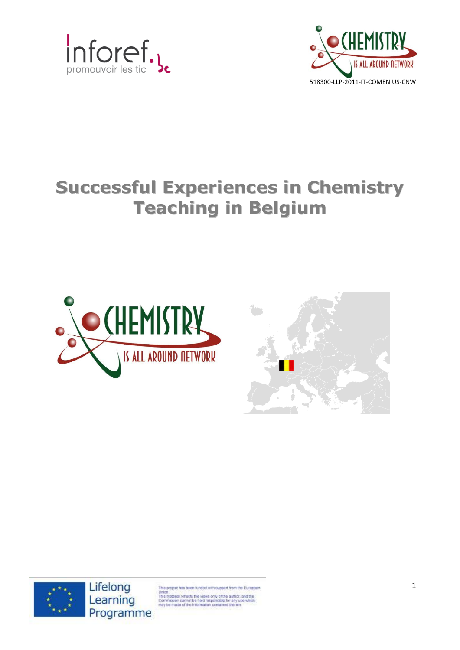



# **Successful Experiences in Chemistry Teaching in Belgium**







Lifelong Learning Programme

sect has been funded with support from the European

Union<br>This material reflects the views only of the author, and the<br>Commission cannot be held responsible for any use which<br>may be made of the information contained therein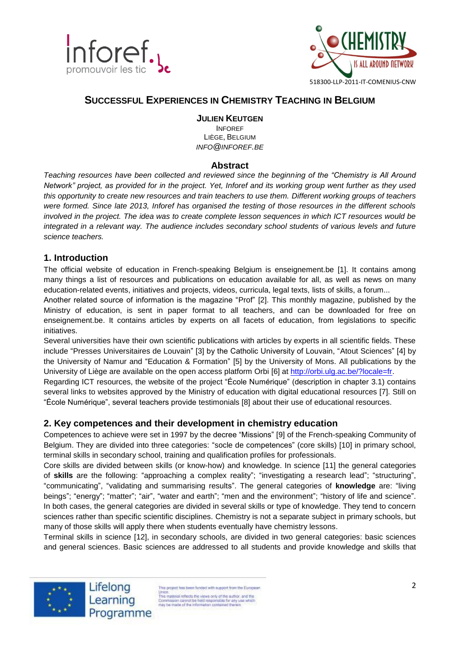



# **SUCCESSFUL EXPERIENCES IN CHEMISTRY TEACHING IN BELGIUM**

## **JULIEN KEUTGEN**

INFOREF LIÈGE, BELGIUM *INFO@INFOREF.BE*

## **Abstract**

*Teaching resources have been collected and reviewed since the beginning of the "Chemistry is All Around Network" project, as provided for in the project. Yet, Inforef and its working group went further as they used this opportunity to create new resources and train teachers to use them. Different working groups of teachers were formed. Since late 2013, Inforef has organised the testing of those resources in the different schools involved in the project. The idea was to create complete lesson sequences in which ICT resources would be integrated in a relevant way. The audience includes secondary school students of various levels and future science teachers.*

## **1. Introduction**

The official website of education in French-speaking Belgium is enseignement.be [1]. It contains among many things a list of resources and publications on education available for all, as well as news on many education-related events, initiatives and projects, videos, curricula, legal texts, lists of skills, a forum...

Another related source of information is the magazine "Prof" [2]. This monthly magazine, published by the Ministry of education, is sent in paper format to all teachers, and can be downloaded for free on enseignement.be. It contains articles by experts on all facets of education, from legislations to specific initiatives.

Several universities have their own scientific publications with articles by experts in all scientific fields. These include "Presses Universitaires de Louvain" [3] by the Catholic University of Louvain, "Atout Sciences" [4] by the University of Namur and "Education & Formation" [5] by the University of Mons. All publications by the University of Liège are available on the open access platform Orbi [6] at [http://orbi.ulg.ac.be/?locale=fr.](http://orbi.ulg.ac.be/?locale=fr)

Regarding ICT resources, the website of the project "École Numérique" (description in chapter 3.1) contains several links to websites approved by the Ministry of education with digital educational resources [7]. Still on "École Numérique", several teachers provide testimonials [8] about their use of educational resources.

# **2. Key competences and their development in chemistry education**

Competences to achieve were set in 1997 by the decree "Missions" [9] of the French-speaking Community of Belgium. They are divided into three categories: "socle de competences" (core skills) [10] in primary school, terminal skills in secondary school, training and qualification profiles for professionals.

Core skills are divided between skills (or know-how) and knowledge. In science [11] the general categories of **skills** are the following: "approaching a complex reality"; "investigating a research lead"; "structuring", "communicating", "validating and summarising results". The general categories of **knowledge** are: "living beings"; "energy"; "matter"; "air", "water and earth"; "men and the environment"; "history of life and science". In both cases, the general categories are divided in several skills or type of knowledge. They tend to concern sciences rather than specific scientific disciplines. Chemistry is not a separate subject in primary schools, but many of those skills will apply there when students eventually have chemistry lessons.

Terminal skills in science [12], in secondary schools, are divided in two general categories: basic sciences and general sciences. Basic sciences are addressed to all students and provide knowledge and skills that



Lifelong Learning Programme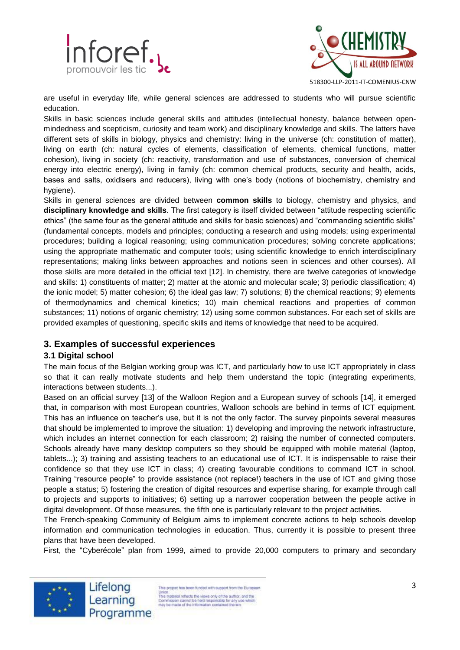



are useful in everyday life, while general sciences are addressed to students who will pursue scientific education.

Skills in basic sciences include general skills and attitudes (intellectual honesty, balance between openmindedness and scepticism, curiosity and team work) and disciplinary knowledge and skills. The latters have different sets of skills in biology, physics and chemistry: living in the universe (ch: constitution of matter), living on earth (ch: natural cycles of elements, classification of elements, chemical functions, matter cohesion), living in society (ch: reactivity, transformation and use of substances, conversion of chemical energy into electric energy), living in family (ch: common chemical products, security and health, acids, bases and salts, oxidisers and reducers), living with one's body (notions of biochemistry, chemistry and hygiene).

Skills in general sciences are divided between **common skills** to biology, chemistry and physics, and **disciplinary knowledge and skills**. The first category is itself divided between "attitude respecting scientific ethics" (the same four as the general attitude and skills for basic sciences) and "commanding scientific skills" (fundamental concepts, models and principles; conducting a research and using models; using experimental procedures; building a logical reasoning; using communication procedures; solving concrete applications; using the appropriate mathematic and computer tools; using scientific knowledge to enrich interdisciplinary representations; making links between approaches and notions seen in sciences and other courses). All those skills are more detailed in the official text [12]. In chemistry, there are twelve categories of knowledge and skills: 1) constituents of matter; 2) matter at the atomic and molecular scale; 3) periodic classification; 4) the ionic model; 5) matter cohesion; 6) the ideal gas law; 7) solutions; 8) the chemical reactions; 9) elements of thermodynamics and chemical kinetics; 10) main chemical reactions and properties of common substances; 11) notions of organic chemistry; 12) using some common substances. For each set of skills are provided examples of questioning, specific skills and items of knowledge that need to be acquired.

# **3. Examples of successful experiences**

# **3.1 Digital school**

The main focus of the Belgian working group was ICT, and particularly how to use ICT appropriately in class so that it can really motivate students and help them understand the topic (integrating experiments, interactions between students...).

Based on an official survey [13] of the Walloon Region and a European survey of schools [14], it emerged that, in comparison with most European countries, Walloon schools are behind in terms of ICT equipment. This has an influence on teacher's use, but it is not the only factor. The survey pinpoints several measures that should be implemented to improve the situation: 1) developing and improving the network infrastructure, which includes an internet connection for each classroom; 2) raising the number of connected computers. Schools already have many desktop computers so they should be equipped with mobile material (laptop, tablets...); 3) training and assisting teachers to an educational use of ICT. It is indispensable to raise their confidence so that they use ICT in class; 4) creating favourable conditions to command ICT in school. Training "resource people" to provide assistance (not replace!) teachers in the use of ICT and giving those people a status; 5) fostering the creation of digital resources and expertise sharing, for example through call to projects and supports to initiatives; 6) setting up a narrower cooperation between the people active in digital development. Of those measures, the fifth one is particularly relevant to the project activities.

The French-speaking Community of Belgium aims to implement concrete actions to help schools develop information and communication technologies in education. Thus, currently it is possible to present three plans that have been developed.

First, the "Cyberécole" plan from 1999, aimed to provide 20,000 computers to primary and secondary



Lifelong Learning Programme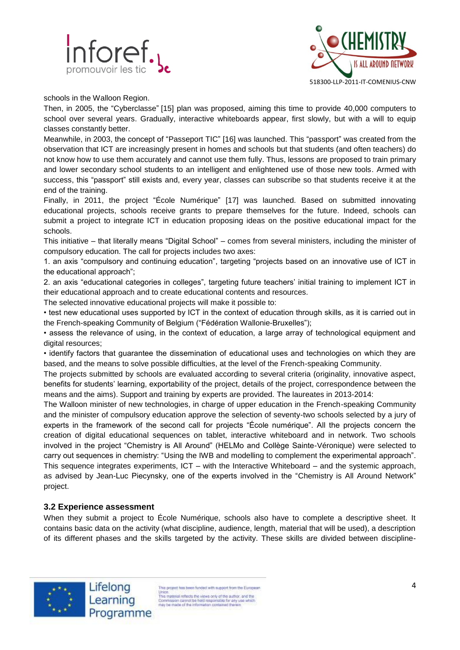



schools in the Walloon Region.

Then, in 2005, the "Cyberclasse" [15] plan was proposed, aiming this time to provide 40,000 computers to school over several years. Gradually, interactive whiteboards appear, first slowly, but with a will to equip classes constantly better.

Meanwhile, in 2003, the concept of "Passeport TIC" [16] was launched. This "passport" was created from the observation that ICT are increasingly present in homes and schools but that students (and often teachers) do not know how to use them accurately and cannot use them fully. Thus, lessons are proposed to train primary and lower secondary school students to an intelligent and enlightened use of those new tools. Armed with success, this "passport" still exists and, every year, classes can subscribe so that students receive it at the end of the training.

Finally, in 2011, the project "École Numérique" [17] was launched. Based on submitted innovating educational projects, schools receive grants to prepare themselves for the future. Indeed, schools can submit a project to integrate ICT in education proposing ideas on the positive educational impact for the schools.

This initiative – that literally means "Digital School" – comes from several ministers, including the minister of compulsory education. The call for projects includes two axes:

1. an axis "compulsory and continuing education", targeting "projects based on an innovative use of ICT in the educational approach";

2. an axis "educational categories in colleges", targeting future teachers' initial training to implement ICT in their educational approach and to create educational contents and resources.

The selected innovative educational projects will make it possible to:

• test new educational uses supported by ICT in the context of education through skills, as it is carried out in the French-speaking Community of Belgium ("Fédération Wallonie-Bruxelles");

• assess the relevance of using, in the context of education, a large array of technological equipment and digital resources;

• identify factors that guarantee the dissemination of educational uses and technologies on which they are based, and the means to solve possible difficulties, at the level of the French-speaking Community.

The projects submitted by schools are evaluated according to several criteria (originality, innovative aspect, benefits for students' learning, exportability of the project, details of the project, correspondence between the means and the aims). Support and training by experts are provided. The laureates in 2013-2014:

The Walloon minister of new technologies, in charge of upper education in the French-speaking Community and the minister of compulsory education approve the selection of seventy-two schools selected by a jury of experts in the framework of the second call for projects "École numérique". All the projects concern the creation of digital educational sequences on tablet, interactive whiteboard and in network. Two schools involved in the project "Chemistry is All Around" (HELMo and Collège Sainte-Véronique) were selected to carry out sequences in chemistry: "Using the IWB and modelling to complement the experimental approach". This sequence integrates experiments, ICT – with the Interactive Whiteboard – and the systemic approach, as advised by Jean-Luc Piecynsky, one of the experts involved in the "Chemistry is All Around Network" project.

## **3.2 Experience assessment**

When they submit a project to École Numérique, schools also have to complete a descriptive sheet. It contains basic data on the activity (what discipline, audience, length, material that will be used), a description of its different phases and the skills targeted by the activity. These skills are divided between discipline-



Lifelong Learning Programme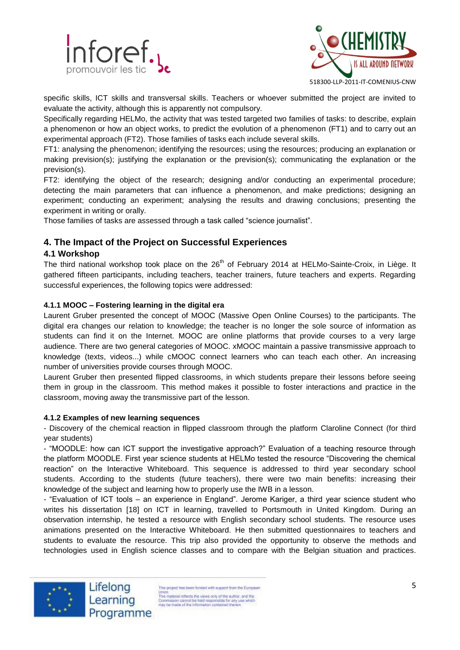



518300-LLP-2011-IT-COMENIUS-CNW

specific skills, ICT skills and transversal skills. Teachers or whoever submitted the project are invited to evaluate the activity, although this is apparently not compulsory.

Specifically regarding HELMo, the activity that was tested targeted two families of tasks: to describe, explain a phenomenon or how an object works, to predict the evolution of a phenomenon (FT1) and to carry out an experimental approach (FT2). Those families of tasks each include several skills.

FT1: analysing the phenomenon; identifying the resources; using the resources; producing an explanation or making prevision(s); justifying the explanation or the prevision(s); communicating the explanation or the prevision(s).

FT2: identifying the object of the research; designing and/or conducting an experimental procedure; detecting the main parameters that can influence a phenomenon, and make predictions; designing an experiment; conducting an experiment; analysing the results and drawing conclusions; presenting the experiment in writing or orally.

Those families of tasks are assessed through a task called "science journalist".

# **4. The Impact of the Project on Successful Experiences**

# **4.1 Workshop**

The third national workshop took place on the 26<sup>th</sup> of February 2014 at HELMo-Sainte-Croix, in Liège. It gathered fifteen participants, including teachers, teacher trainers, future teachers and experts. Regarding successful experiences, the following topics were addressed:

## **4.1.1 MOOC – Fostering learning in the digital era**

Laurent Gruber presented the concept of MOOC (Massive Open Online Courses) to the participants. The digital era changes our relation to knowledge; the teacher is no longer the sole source of information as students can find it on the Internet. MOOC are online platforms that provide courses to a very large audience. There are two general categories of MOOC. xMOOC maintain a passive transmissive approach to knowledge (texts, videos...) while cMOOC connect learners who can teach each other. An increasing number of universities provide courses through MOOC.

Laurent Gruber then presented flipped classrooms, in which students prepare their lessons before seeing them in group in the classroom. This method makes it possible to foster interactions and practice in the classroom, moving away the transmissive part of the lesson.

#### **4.1.2 Examples of new learning sequences**

- Discovery of the chemical reaction in flipped classroom through the platform Claroline Connect (for third year students)

- "MOODLE: how can ICT support the investigative approach?" Evaluation of a teaching resource through the platform MOODLE. First year science students at HELMo tested the resource "Discovering the chemical reaction" on the Interactive Whiteboard. This sequence is addressed to third year secondary school students. According to the students (future teachers), there were two main benefits: increasing their knowledge of the subject and learning how to properly use the IWB in a lesson.

- "Evaluation of ICT tools – an experience in England". Jerome Kariger, a third year science student who writes his dissertation [18] on ICT in learning, travelled to Portsmouth in United Kingdom. During an observation internship, he tested a resource with English secondary school students. The resource uses animations presented on the Interactive Whiteboard. He then submitted questionnaires to teachers and students to evaluate the resource. This trip also provided the opportunity to observe the methods and technologies used in English science classes and to compare with the Belgian situation and practices.



Lifelong Learning Programme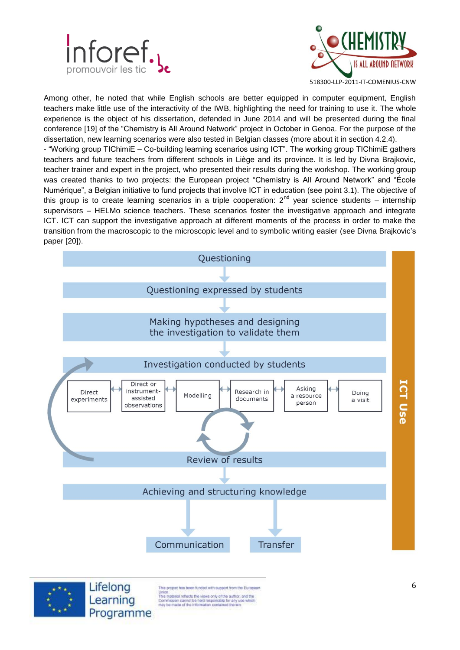



Among other, he noted that while English schools are better equipped in computer equipment, English teachers make little use of the interactivity of the IWB, highlighting the need for training to use it. The whole experience is the object of his dissertation, defended in June 2014 and will be presented during the final conference [19] of the "Chemistry is All Around Network" project in October in Genoa. For the purpose of the dissertation, new learning scenarios were also tested in Belgian classes (more about it in section 4.2.4).

- "Working group TIChimiE – Co-building learning scenarios using ICT". The working group TIChimiE gathers teachers and future teachers from different schools in Liège and its province. It is led by Divna Brajkovic, teacher trainer and expert in the project, who presented their results during the workshop. The working group was created thanks to two projects: the European project "Chemistry is All Around Network" and "École Numérique", a Belgian initiative to fund projects that involve ICT in education (see point 3.1). The objective of this group is to create learning scenarios in a triple cooperation:  $2^{nd}$  year science students – internship supervisors – HELMo science teachers. These scenarios foster the investigative approach and integrate ICT. ICT can support the investigative approach at different moments of the process in order to make the transition from the macroscopic to the microscopic level and to symbolic writing easier (see Divna Brajkovic's paper [20]).



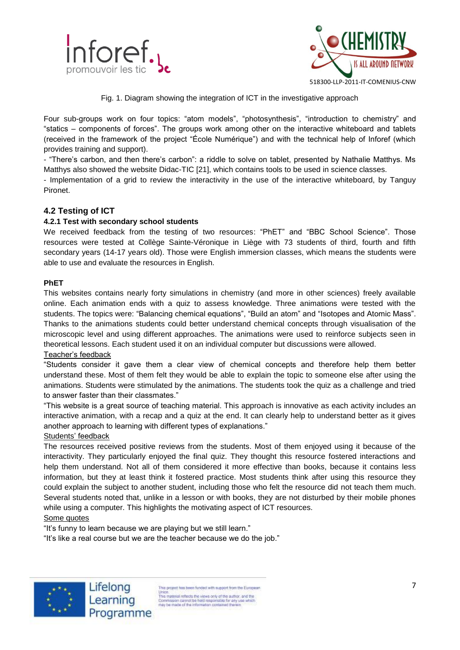



Fig. 1. Diagram showing the integration of ICT in the investigative approach

Four sub-groups work on four topics: "atom models", "photosynthesis", "introduction to chemistry" and "statics – components of forces". The groups work among other on the interactive whiteboard and tablets (received in the framework of the project "École Numérique") and with the technical help of Inforef (which provides training and support).

- "There's carbon, and then there's carbon": a riddle to solve on tablet, presented by Nathalie Matthys. Ms Matthys also showed the website Didac-TIC [21], which contains tools to be used in science classes.

- Implementation of a grid to review the interactivity in the use of the interactive whiteboard, by Tanguy Pironet.

## **4.2 Testing of ICT**

#### **4.2.1 Test with secondary school students**

We received feedback from the testing of two resources: "PhET" and "BBC School Science". Those resources were tested at Collège Sainte-Véronique in Liège with 73 students of third, fourth and fifth secondary years (14-17 years old). Those were English immersion classes, which means the students were able to use and evaluate the resources in English.

#### **PhET**

This websites contains nearly forty simulations in chemistry (and more in other sciences) freely available online. Each animation ends with a quiz to assess knowledge. Three animations were tested with the students. The topics were: "Balancing chemical equations", "Build an atom" and "Isotopes and Atomic Mass". Thanks to the animations students could better understand chemical concepts through visualisation of the microscopic level and using different approaches. The animations were used to reinforce subjects seen in theoretical lessons. Each student used it on an individual computer but discussions were allowed. Teacher's feedback

"Students consider it gave them a clear view of chemical concepts and therefore help them better understand these. Most of them felt they would be able to explain the topic to someone else after using the animations. Students were stimulated by the animations. The students took the quiz as a challenge and tried to answer faster than their classmates."

"This website is a great source of teaching material. This approach is innovative as each activity includes an interactive animation, with a recap and a quiz at the end. It can clearly help to understand better as it gives another approach to learning with different types of explanations."

#### Students' feedback

The resources received positive reviews from the students. Most of them enjoyed using it because of the interactivity. They particularly enjoyed the final quiz. They thought this resource fostered interactions and help them understand. Not all of them considered it more effective than books, because it contains less information, but they at least think it fostered practice. Most students think after using this resource they could explain the subject to another student, including those who felt the resource did not teach them much. Several students noted that, unlike in a lesson or with books, they are not disturbed by their mobile phones while using a computer. This highlights the motivating aspect of ICT resources.

#### Some quotes

"It's funny to learn because we are playing but we still learn."

"It's like a real course but we are the teacher because we do the job."



Lifelong Learning Programme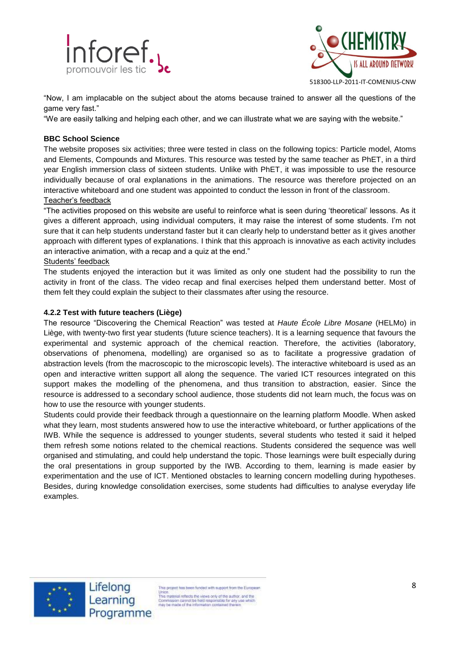



"Now, I am implacable on the subject about the atoms because trained to answer all the questions of the game very fast."

"We are easily talking and helping each other, and we can illustrate what we are saying with the website."

#### **BBC School Science**

The website proposes six activities; three were tested in class on the following topics: Particle model, Atoms and Elements, Compounds and Mixtures. This resource was tested by the same teacher as PhET, in a third year English immersion class of sixteen students. Unlike with PhET, it was impossible to use the resource individually because of oral explanations in the animations. The resource was therefore projected on an interactive whiteboard and one student was appointed to conduct the lesson in front of the classroom. Teacher's feedback

"The activities proposed on this website are useful to reinforce what is seen during 'theoretical' lessons. As it gives a different approach, using individual computers, it may raise the interest of some students. I'm not sure that it can help students understand faster but it can clearly help to understand better as it gives another approach with different types of explanations. I think that this approach is innovative as each activity includes an interactive animation, with a recap and a quiz at the end."

#### Students' feedback

The students enjoyed the interaction but it was limited as only one student had the possibility to run the activity in front of the class. The video recap and final exercises helped them understand better. Most of them felt they could explain the subject to their classmates after using the resource.

#### **4.2.2 Test with future teachers (Liège)**

The resource "Discovering the Chemical Reaction" was tested at *Haute École Libre Mosane* (HELMo) in Liège, with twenty-two first year students (future science teachers). It is a learning sequence that favours the experimental and systemic approach of the chemical reaction. Therefore, the activities (laboratory, observations of phenomena, modelling) are organised so as to facilitate a progressive gradation of abstraction levels (from the macroscopic to the microscopic levels). The interactive whiteboard is used as an open and interactive written support all along the sequence. The varied ICT resources integrated on this support makes the modelling of the phenomena, and thus transition to abstraction, easier. Since the resource is addressed to a secondary school audience, those students did not learn much, the focus was on how to use the resource with younger students.

Students could provide their feedback through a questionnaire on the learning platform Moodle. When asked what they learn, most students answered how to use the interactive whiteboard, or further applications of the IWB. While the sequence is addressed to younger students, several students who tested it said it helped them refresh some notions related to the chemical reactions. Students considered the sequence was well organised and stimulating, and could help understand the topic. Those learnings were built especially during the oral presentations in group supported by the IWB. According to them, learning is made easier by experimentation and the use of ICT. Mentioned obstacles to learning concern modelling during hypotheses. Besides, during knowledge consolidation exercises, some students had difficulties to analyse everyday life examples.

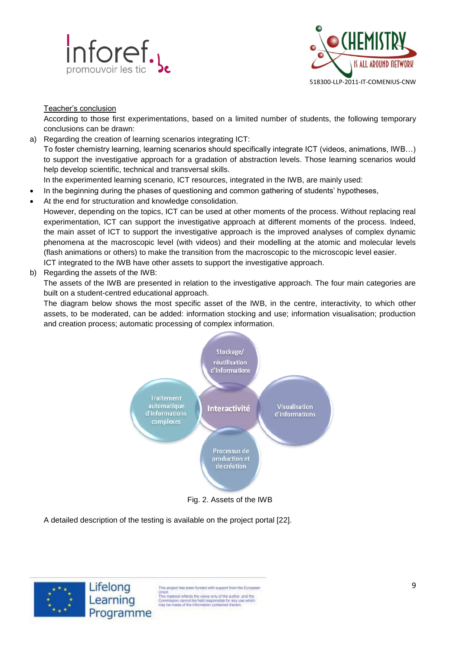



#### Teacher's conclusion

According to those first experimentations, based on a limited number of students, the following temporary conclusions can be drawn:

- a) Regarding the creation of learning scenarios integrating ICT: To foster chemistry learning, learning scenarios should specifically integrate ICT (videos, animations, IWB…) to support the investigative approach for a gradation of abstraction levels. Those learning scenarios would help develop scientific, technical and transversal skills.
	- In the experimented learning scenario, ICT resources, integrated in the IWB, are mainly used:
- In the beginning during the phases of questioning and common gathering of students' hypotheses,
- At the end for structuration and knowledge consolidation.

However, depending on the topics, ICT can be used at other moments of the process. Without replacing real experimentation, ICT can support the investigative approach at different moments of the process. Indeed, the main asset of ICT to support the investigative approach is the improved analyses of complex dynamic phenomena at the macroscopic level (with videos) and their modelling at the atomic and molecular levels (flash animations or others) to make the transition from the macroscopic to the microscopic level easier. ICT integrated to the IWB have other assets to support the investigative approach.

b) Regarding the assets of the IWB:

The assets of the IWB are presented in relation to the investigative approach. The four main categories are built on a student-centred educational approach.

The diagram below shows the most specific asset of the IWB, in the centre, interactivity, to which other assets, to be moderated, can be added: information stocking and use; information visualisation; production and creation process; automatic processing of complex information.



A detailed description of the testing is available on the project portal [22].



This project has been funded with support from the European Union.<br>
This material reflects the views only of the author, and the<br>
This material reflects the views only of the author.<br>
Commission cannot be hisld responsible for any use which<br>
may be made of the information contained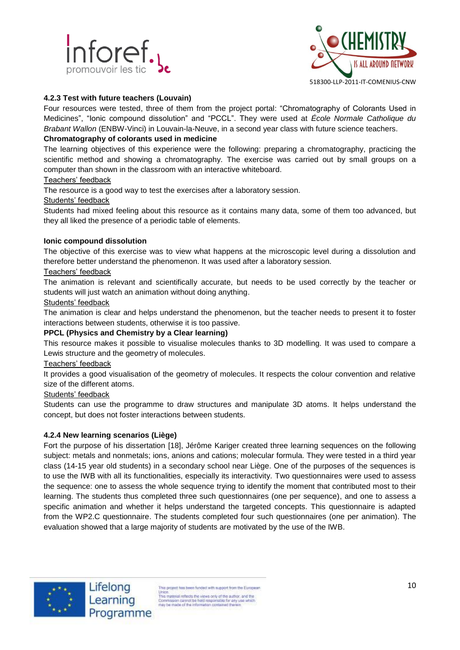



## **4.2.3 Test with future teachers (Louvain)**

Four resources were tested, three of them from the project portal: "Chromatography of Colorants Used in Medicines", "Ionic compound dissolution" and "PCCL". They were used at *École Normale Catholique du Brabant Wallon* (ENBW-Vinci) in Louvain-la-Neuve, in a second year class with future science teachers.

## **Chromatography of colorants used in medicine**

The learning objectives of this experience were the following: preparing a chromatography, practicing the scientific method and showing a chromatography. The exercise was carried out by small groups on a computer than shown in the classroom with an interactive whiteboard.

#### Teachers' feedback

The resource is a good way to test the exercises after a laboratory session.

#### Students' feedback

Students had mixed feeling about this resource as it contains many data, some of them too advanced, but they all liked the presence of a periodic table of elements.

#### **Ionic compound dissolution**

The objective of this exercise was to view what happens at the microscopic level during a dissolution and therefore better understand the phenomenon. It was used after a laboratory session.

#### Teachers' feedback

The animation is relevant and scientifically accurate, but needs to be used correctly by the teacher or students will just watch an animation without doing anything.

#### Students' feedback

The animation is clear and helps understand the phenomenon, but the teacher needs to present it to foster interactions between students, otherwise it is too passive.

#### **PPCL (Physics and Chemistry by a Clear learning)**

This resource makes it possible to visualise molecules thanks to 3D modelling. It was used to compare a Lewis structure and the geometry of molecules.

#### Teachers' feedback

It provides a good visualisation of the geometry of molecules. It respects the colour convention and relative size of the different atoms.

#### Students' feedback

Students can use the programme to draw structures and manipulate 3D atoms. It helps understand the concept, but does not foster interactions between students.

#### **4.2.4 New learning scenarios (Liège)**

Fort the purpose of his dissertation [18], Jérôme Kariger created three learning sequences on the following subject: metals and nonmetals; ions, anions and cations; molecular formula. They were tested in a third year class (14-15 year old students) in a secondary school near Liège. One of the purposes of the sequences is to use the IWB with all its functionalities, especially its interactivity. Two questionnaires were used to assess the sequence: one to assess the whole sequence trying to identify the moment that contributed most to their learning. The students thus completed three such questionnaires (one per sequence), and one to assess a specific animation and whether it helps understand the targeted concepts. This questionnaire is adapted from the WP2.C questionnaire. The students completed four such questionnaires (one per animation). The evaluation showed that a large majority of students are motivated by the use of the IWB.



Lifelong Learning Programme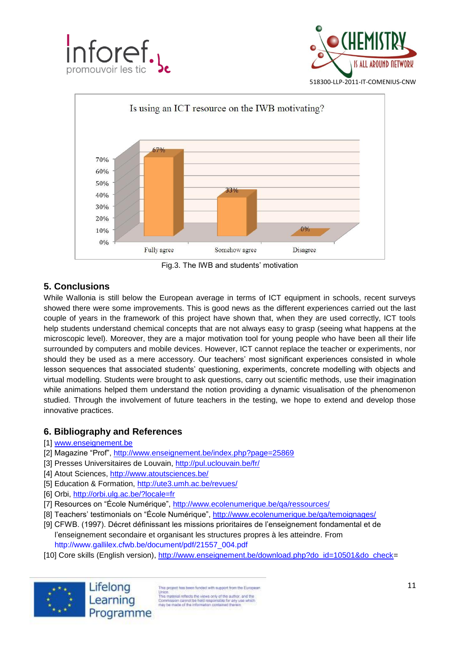





Fig.3. The IWB and students' motivation

# **5. Conclusions**

While Wallonia is still below the European average in terms of ICT equipment in schools, recent surveys showed there were some improvements. This is good news as the different experiences carried out the last couple of years in the framework of this project have shown that, when they are used correctly, ICT tools help students understand chemical concepts that are not always easy to grasp (seeing what happens at the microscopic level). Moreover, they are a major motivation tool for young people who have been all their life surrounded by computers and mobile devices. However, ICT cannot replace the teacher or experiments, nor should they be used as a mere accessory. Our teachers' most significant experiences consisted in whole lesson sequences that associated students' questioning, experiments, concrete modelling with objects and virtual modelling. Students were brought to ask questions, carry out scientific methods, use their imagination while animations helped them understand the notion providing a dynamic visualisation of the phenomenon studied. Through the involvement of future teachers in the testing, we hope to extend and develop those innovative practices.

# **6. Bibliography and References**

## [1] [www.enseignement.be](http://www.enseignement.be/)

- [2] Magazine "Prof",<http://www.enseignement.be/index.php?page=25869>
- [3] Presses Universitaires de Louvain,<http://pul.uclouvain.be/fr/>
- [4] Atout Sciences,<http://www.atoutsciences.be/>
- [5] Education & Formation,<http://ute3.umh.ac.be/revues/>
- [6] Orbi,<http://orbi.ulg.ac.be/?locale=fr>
- [7] Resources on "École Numérique",<http://www.ecolenumerique.be/qa/ressources/>
- [8] Teachers' testimonials on "École Numérique",<http://www.ecolenumerique.be/qa/temoignages/>
- [9] CFWB. (1997). Décret définissant les missions prioritaires de l'enseignement fondamental et de l'enseignement secondaire et organisant les structures propres à les atteindre. From http://www.gallilex.cfwb.be/document/pdf/21557\_004.pdf
- [10] Core skills (English version), [http://www.enseignement.be/download.php?do\\_id=10501&do\\_check=](http://www.enseignement.be/download.php?do_id=10501&do_check)